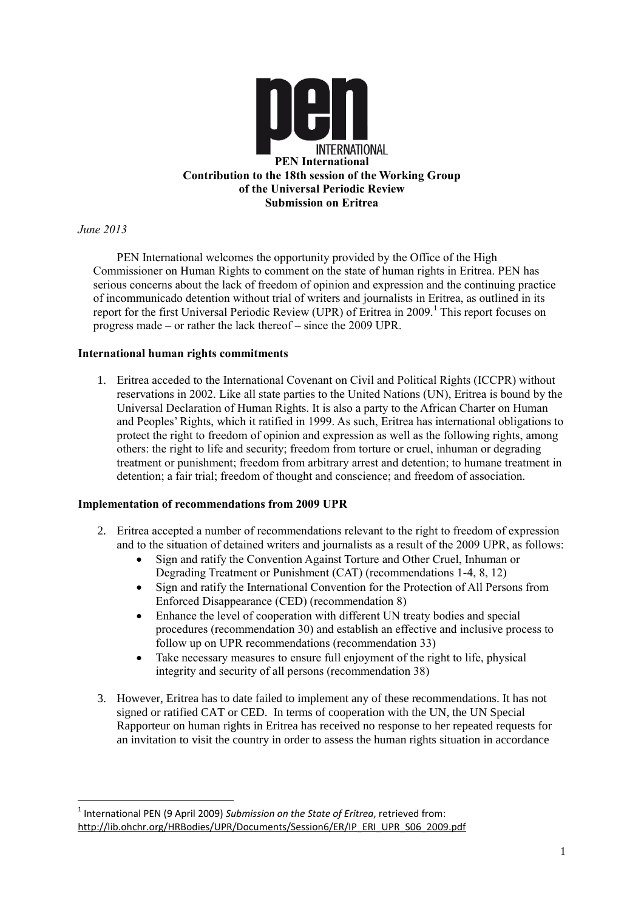

# *June 2013*

1

PEN International welcomes the opportunity provided by the Office of the High Commissioner on Human Rights to comment on the state of human rights in Eritrea. PEN has serious concerns about the lack of freedom of opinion and expression and the continuing practice of incommunicado detention without trial of writers and journalists in Eritrea, as outlined in its report for the first Universal Periodic Review (UPR) of Eritrea in 2009.<sup>1</sup> This report focuses on progress made – or rather the lack thereof – since the 2009 UPR.

### **International human rights commitments**

1. Eritrea acceded to the International Covenant on Civil and Political Rights (ICCPR) without reservations in 2002. Like all state parties to the United Nations (UN), Eritrea is bound by the Universal Declaration of Human Rights. It is also a party to the African Charter on Human and Peoples' Rights, which it ratified in 1999. As such, Eritrea has international obligations to protect the right to freedom of opinion and expression as well as the following rights, among others: the right to life and security; freedom from torture or cruel, inhuman or degrading treatment or punishment; freedom from arbitrary arrest and detention; to humane treatment in detention; a fair trial; freedom of thought and conscience; and freedom of association.

#### **Implementation of recommendations from 2009 UPR**

- 2. Eritrea accepted a number of recommendations relevant to the right to freedom of expression and to the situation of detained writers and journalists as a result of the 2009 UPR, as follows:
	- Sign and ratify the Convention Against Torture and Other Cruel, Inhuman or Degrading Treatment or Punishment (CAT) (recommendations 1-4, 8, 12)
	- Sign and ratify the International Convention for the Protection of All Persons from Enforced Disappearance (CED) (recommendation 8)
	- Enhance the level of cooperation with different UN treaty bodies and special procedures (recommendation 30) and establish an effective and inclusive process to follow up on UPR recommendations (recommendation 33)
	- Take necessary measures to ensure full enjoyment of the right to life, physical integrity and security of all persons (recommendation 38)
- 3. However, Eritrea has to date failed to implement any of these recommendations. It has not signed or ratified CAT or CED. In terms of cooperation with the UN, the UN Special Rapporteur on human rights in Eritrea has received no response to her repeated requests for an invitation to visit the country in order to assess the human rights situation in accordance

<sup>&</sup>lt;sup>1</sup> International PEN (9 April 2009) *Submission on the State of Eritrea*, retrieved from: [http://lib.ohchr.org/HRBodies/UPR/Documents/Session6/ER/IP\\_ERI\\_UPR\\_S06\\_2009.pdf](http://lib.ohchr.org/HRBodies/UPR/Documents/Session6/ER/IP_ERI_UPR_S06_2009.pdf)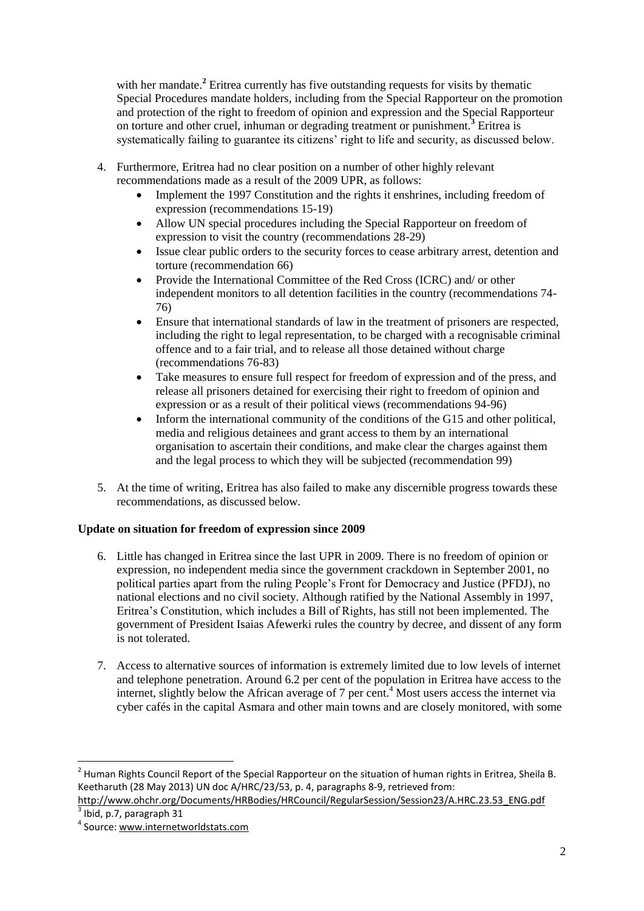with her mandate.<sup>2</sup> Eritrea currently has five outstanding requests for visits by thematic Special Procedures mandate holders, including from the Special Rapporteur on the promotion and protection of the right to freedom of opinion and expression and the Special Rapporteur on torture and other cruel, inhuman or degrading treatment or punishment.**<sup>3</sup>** Eritrea is systematically failing to guarantee its citizens' right to life and security, as discussed below.

- 4. Furthermore, Eritrea had no clear position on a number of other highly relevant recommendations made as a result of the 2009 UPR, as follows:
	- Implement the 1997 Constitution and the rights it enshrines, including freedom of expression (recommendations 15-19)
	- Allow UN special procedures including the Special Rapporteur on freedom of expression to visit the country (recommendations 28-29)
	- Issue clear public orders to the security forces to cease arbitrary arrest, detention and torture (recommendation 66)
	- Provide the International Committee of the Red Cross (ICRC) and/ or other independent monitors to all detention facilities in the country (recommendations 74- 76)
	- Ensure that international standards of law in the treatment of prisoners are respected, including the right to legal representation, to be charged with a recognisable criminal offence and to a fair trial, and to release all those detained without charge (recommendations 76-83)
	- Take measures to ensure full respect for freedom of expression and of the press, and release all prisoners detained for exercising their right to freedom of opinion and expression or as a result of their political views (recommendations 94-96)
	- Inform the international community of the conditions of the G15 and other political, media and religious detainees and grant access to them by an international organisation to ascertain their conditions, and make clear the charges against them and the legal process to which they will be subjected (recommendation 99)
- 5. At the time of writing, Eritrea has also failed to make any discernible progress towards these recommendations, as discussed below.

# **Update on situation for freedom of expression since 2009**

- 6. Little has changed in Eritrea since the last UPR in 2009. There is no freedom of opinion or expression, no independent media since the government crackdown in September 2001, no political parties apart from the ruling People's Front for Democracy and Justice (PFDJ), no national elections and no civil society. Although ratified by the National Assembly in 1997, Eritrea's Constitution, which includes a Bill of Rights, has still not been implemented. The government of President Isaias Afewerki rules the country by decree, and dissent of any form is not tolerated.
- 7. Access to alternative sources of information is extremely limited due to low levels of internet and telephone penetration. Around 6.2 per cent of the population in Eritrea have access to the internet, slightly below the African average of 7 per cent. <sup>4</sup> Most users access the internet via cyber cafés in the capital Asmara and other main towns and are closely monitored, with some

<sup>&</sup>lt;sup>2</sup> Human Rights Council Report of the Special Rapporteur on the situation of human rights in Eritrea, Sheila B. Keetharuth (28 May 2013) UN doc A/HRC/23/53, p. 4, paragraphs 8-9, retrieved from:

[http://www.ohchr.org/Documents/HRBodies/HRCouncil/RegularSession/Session23/A.HRC.23.53\\_ENG.pdf](http://www.ohchr.org/Documents/HRBodies/HRCouncil/RegularSession/Session23/A.HRC.23.53_ENG.pdf)  $3$  Ibid, p.7, paragraph 31

<sup>&</sup>lt;sup>4</sup> Source[: www.internetworldstats.com](file:///C:/Users/EWadsworth-Jones/AppData/Local/Microsoft/Windows/Temporary%20Internet%20Files/Content.Outlook/XYAGDMU1/www.internetworldstats.com)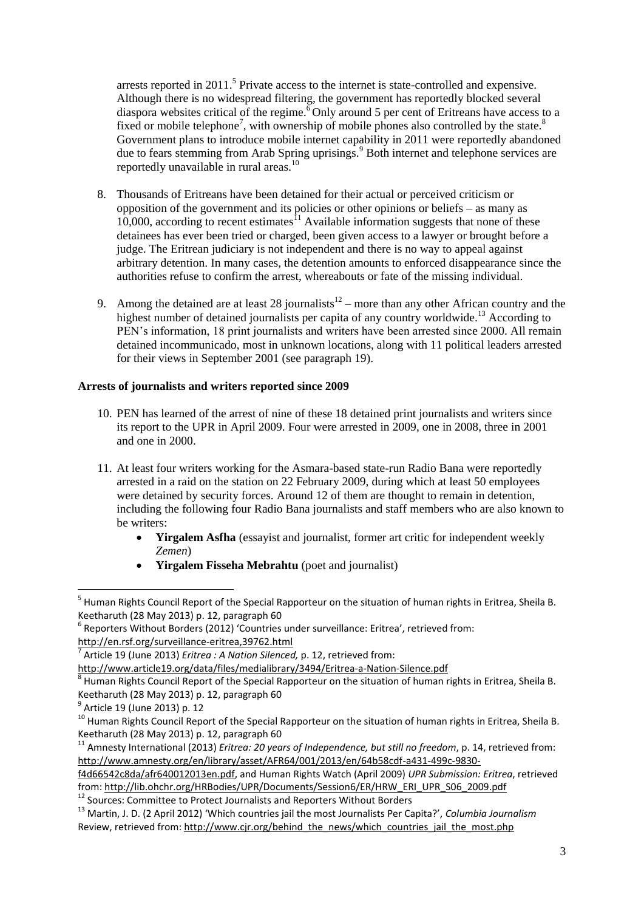arrests reported in 2011.<sup>5</sup> Private access to the internet is state-controlled and expensive. Although there is no widespread filtering, the government has reportedly blocked several diaspora websites critical of the regime.<sup>6</sup> Only around 5 per cent of Eritreans have access to a fixed or mobile telephone<sup>7</sup>, with ownership of mobile phones also controlled by the state.<sup>8</sup> Government plans to introduce mobile internet capability in 2011 were reportedly abandoned due to fears stemming from Arab Spring uprisings.<sup>9</sup> Both internet and telephone services are reportedly unavailable in rural areas.<sup>10</sup>

- 8. Thousands of Eritreans have been detained for their actual or perceived criticism or opposition of the government and its policies or other opinions or beliefs – as many as  $10,000$ , according to recent estimates<sup>11</sup> Available information suggests that none of these detainees has ever been tried or charged, been given access to a lawyer or brought before a judge. The Eritrean judiciary is not independent and there is no way to appeal against arbitrary detention. In many cases, the detention amounts to enforced disappearance since the authorities refuse to confirm the arrest, whereabouts or fate of the missing individual.
- 9. Among the detained are at least 28 journalists<sup>12</sup> more than any other African country and the highest number of detained journalists per capita of any country worldwide.<sup>13</sup> According to PEN's information, 18 print journalists and writers have been arrested since 2000. All remain detained incommunicado, most in unknown locations, along with 11 political leaders arrested for their views in September 2001 (see paragraph 19).

# **Arrests of journalists and writers reported since 2009**

- 10. PEN has learned of the arrest of nine of these 18 detained print journalists and writers since its report to the UPR in April 2009. Four were arrested in 2009, one in 2008, three in 2001 and one in 2000.
- 11. At least four writers working for the Asmara-based state-run Radio Bana were reportedly arrested in a raid on the station on 22 February 2009, during which at least 50 employees were detained by security forces. Around 12 of them are thought to remain in detention, including the following four Radio Bana journalists and staff members who are also known to be writers:
	- **Yirgalem Asfha** (essayist and journalist, former art critic for independent weekly *Zemen*)
	- **Yirgalem Fisseha Mebrahtu** (poet and journalist)

 5 Human Rights Council Report of the Special Rapporteur on the situation of human rights in Eritrea, Sheila B. Keetharuth (28 May 2013) p. 12, paragraph 60

 $<sup>6</sup>$  Reporters Without Borders (2012) 'Countries under surveillance: Eritrea', retrieved from:</sup> <http://en.rsf.org/surveillance-eritrea,39762.html>

<sup>7</sup> Article 19 (June 2013) *Eritrea : A Nation Silenced,* p. 12, retrieved from:

<http://www.article19.org/data/files/medialibrary/3494/Eritrea-a-Nation-Silence.pdf>

 $^8$  Human Rights Council Report of the Special Rapporteur on the situation of human rights in Eritrea, Sheila B. Keetharuth (28 May 2013) p. 12, paragraph 60

<sup>&</sup>lt;sup>9</sup> Article 19 (June 2013) p. 12

<sup>&</sup>lt;sup>10</sup> Human Rights Council Report of the Special Rapporteur on the situation of human rights in Eritrea, Sheila B. Keetharuth (28 May 2013) p. 12, paragraph 60

<sup>11</sup> Amnesty International (2013) *Eritrea: 20 years of Independence, but still no freedom*, p. 14, retrieved from: [http://www.amnesty.org/en/library/asset/AFR64/001/2013/en/64b58cdf-a431-499c-9830-](http://www.amnesty.org/en/library/asset/AFR64/001/2013/en/64b58cdf-a431-499c-9830-f4d66542c8da/afr640012013en.pdf)

[f4d66542c8da/afr640012013en.pdf,](http://www.amnesty.org/en/library/asset/AFR64/001/2013/en/64b58cdf-a431-499c-9830-f4d66542c8da/afr640012013en.pdf) and Human Rights Watch (April 2009) *UPR Submission: Eritrea*, retrieved from[: http://lib.ohchr.org/HRBodies/UPR/Documents/Session6/ER/HRW\\_ERI\\_UPR\\_S06\\_2009.pdf](http://lib.ohchr.org/HRBodies/UPR/Documents/Session6/ER/HRW_ERI_UPR_S06_2009.pdf)

<sup>&</sup>lt;sup>12</sup> Sources: Committee to Protect Journalists and Reporters Without Borders

<sup>13</sup> Martin, J. D. (2 April 2012) 'Which countries jail the most Journalists Per Capita?', *Columbia Journalism*  Review, retrieved from[: http://www.cjr.org/behind\\_the\\_news/which\\_countries\\_jail\\_the\\_most.php](http://www.cjr.org/behind_the_news/which_countries_jail_the_most.php)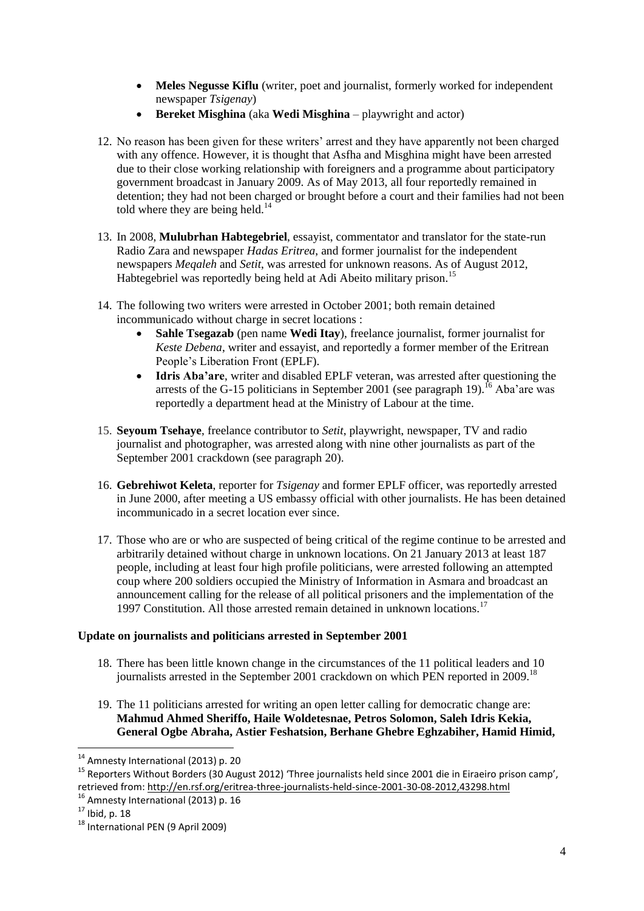- **Meles Negusse Kiflu** (writer, poet and journalist, formerly worked for independent newspaper *Tsigenay*)
- **Bereket Misghina** (aka **Wedi Misghina** playwright and actor)
- 12. No reason has been given for these writers' arrest and they have apparently not been charged with any offence. However, it is thought that Asfha and Misghina might have been arrested due to their close working relationship with foreigners and a programme about participatory government broadcast in January 2009. As of May 2013, all four reportedly remained in detention; they had not been charged or brought before a court and their families had not been told where they are being held.<sup>14</sup>
- 13. In 2008, **Mulubrhan Habtegebriel**, essayist, commentator and translator for the state-run Radio Zara and newspaper *Hadas Eritrea*, and former journalist for the independent newspapers *Meqaleh* and *Setit*, was arrested for unknown reasons. As of August 2012, Habtegebriel was reportedly being held at Adi Abeito military prison.<sup>15</sup>
- 14. The following two writers were arrested in October 2001; both remain detained incommunicado without charge in secret locations :
	- **Sahle Tsegazab** (pen name **Wedi Itay**), freelance journalist, former journalist for *Keste Debena*, writer and essayist, and reportedly a former member of the Eritrean People's Liberation Front (EPLF).
	- **Idris Aba'are**, writer and disabled EPLF veteran, was arrested after questioning the arrests of the G-15 politicians in September 2001 (see paragraph 19).<sup>16</sup> Aba'are was reportedly a department head at the Ministry of Labour at the time.
- 15. **Seyoum Tsehaye**, freelance contributor to *Setit*, playwright, newspaper, TV and radio journalist and photographer, was arrested along with nine other journalists as part of the September 2001 crackdown (see paragraph 20).
- 16. **Gebrehiwot Keleta**, reporter for *Tsigenay* and former EPLF officer, was reportedly arrested in June 2000, after meeting a US embassy official with other journalists. He has been detained incommunicado in a secret location ever since.
- 17. Those who are or who are suspected of being critical of the regime continue to be arrested and arbitrarily detained without charge in unknown locations. On 21 January 2013 at least 187 people, including at least four high profile politicians, were arrested following an attempted coup where 200 soldiers occupied the Ministry of Information in Asmara and broadcast an announcement calling for the release of all political prisoners and the implementation of the 1997 Constitution. All those arrested remain detained in unknown locations.<sup>17</sup>

# **Update on journalists and politicians arrested in September 2001**

- 18. There has been little known change in the circumstances of the 11 political leaders and 10 journalists arrested in the September 2001 crackdown on which PEN reported in 2009.<sup>18</sup>
- 19. The 11 politicians arrested for writing an open letter calling for democratic change are: **Mahmud Ahmed Sheriffo, Haile Woldetesnae, Petros Solomon, Saleh Idris Kekia, General Ogbe Abraha, Astier Feshatsion, Berhane Ghebre Eghzabiher, Hamid Himid,**

<sup>&</sup>lt;sup>14</sup> Amnesty International (2013) p. 20

<sup>15</sup> Reporters Without Borders (30 August 2012) 'Three journalists held since 2001 die in Eiraeiro prison camp', retrieved from[: http://en.rsf.org/eritrea-three-journalists-held-since-2001-30-08-2012,43298.html](http://en.rsf.org/eritrea-three-journalists-held-since-2001-30-08-2012,43298.html)

 $16$  Amnesty International (2013) p. 16

 $17$  Ibid, p. 18

<sup>18</sup> International PEN (9 April 2009)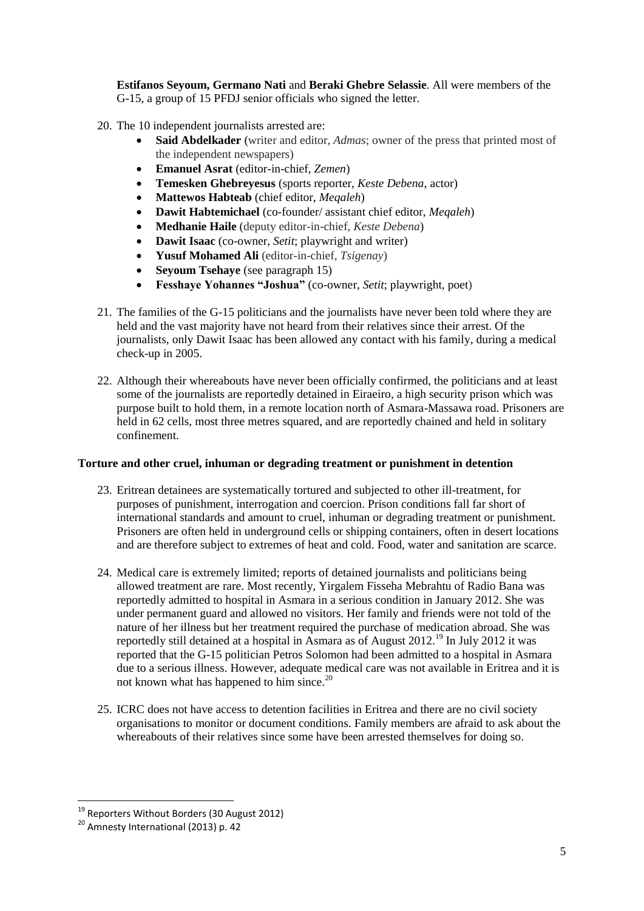**Estifanos Seyoum, Germano Nati** and **Beraki Ghebre Selassie**. All were members of the G-15, a group of 15 PFDJ senior officials who signed the letter.

- 20. The 10 independent journalists arrested are:
	- **Said Abdelkader** (writer and editor, *Admas*; owner of the press that printed most of the independent newspapers)
	- **Emanuel Asrat** (editor-in-chief, *Zemen*)
	- **Temesken Ghebreyesus** (sports reporter, *Keste Debena*, actor)
	- **Mattewos Habteab** (chief editor, *Meqaleh*)
	- **Dawit Habtemichael** (co-founder/ assistant chief editor, *Meqaleh*)
	- **Medhanie Haile** (deputy editor-in-chief, *Keste Debena*)
	- **Dawit Isaac** (co-owner, *Setit*; playwright and writer)
	- **Yusuf Mohamed Ali** (editor-in-chief, *Tsigenay*)
	- **Seyoum Tsehaye** (see paragraph 15)
	- **Fesshaye Yohannes "Joshua"** (co-owner, *Setit*; playwright, poet)
- 21. The families of the G-15 politicians and the journalists have never been told where they are held and the vast majority have not heard from their relatives since their arrest. Of the journalists, only Dawit Isaac has been allowed any contact with his family, during a medical check-up in 2005.
- 22. Although their whereabouts have never been officially confirmed, the politicians and at least some of the journalists are reportedly detained in Eiraeiro, a high security prison which was purpose built to hold them, in a remote location north of Asmara-Massawa road. Prisoners are held in 62 cells, most three metres squared, and are reportedly chained and held in solitary confinement.

#### **Torture and other cruel, inhuman or degrading treatment or punishment in detention**

- 23. Eritrean detainees are systematically tortured and subjected to other ill-treatment, for purposes of punishment, interrogation and coercion. Prison conditions fall far short of international standards and amount to cruel, inhuman or degrading treatment or punishment. Prisoners are often held in underground cells or shipping containers, often in desert locations and are therefore subject to extremes of heat and cold. Food, water and sanitation are scarce.
- 24. Medical care is extremely limited; reports of detained journalists and politicians being allowed treatment are rare. Most recently, Yirgalem Fisseha Mebrahtu of Radio Bana was reportedly admitted to hospital in Asmara in a serious condition in January 2012. She was under permanent guard and allowed no visitors. Her family and friends were not told of the nature of her illness but her treatment required the purchase of medication abroad. She was reportedly still detained at a hospital in Asmara as of August  $2012$ .<sup>19</sup> In July 2012 it was reported that the G-15 politician Petros Solomon had been admitted to a hospital in Asmara due to a serious illness. However, adequate medical care was not available in Eritrea and it is not known what has happened to him since.<sup>20</sup>
- 25. ICRC does not have access to detention facilities in Eritrea and there are no civil society organisations to monitor or document conditions. Family members are afraid to ask about the whereabouts of their relatives since some have been arrested themselves for doing so.

<sup>19</sup> Reporters Without Borders (30 August 2012)

<sup>&</sup>lt;sup>20</sup> Amnesty International (2013) p. 42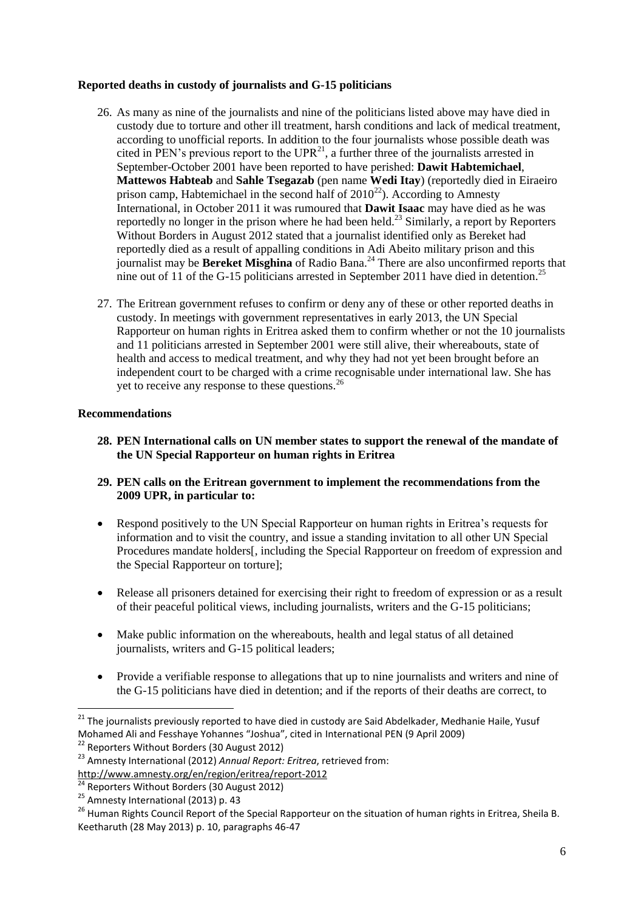### **Reported deaths in custody of journalists and G-15 politicians**

- 26. As many as nine of the journalists and nine of the politicians listed above may have died in custody due to torture and other ill treatment, harsh conditions and lack of medical treatment, according to unofficial reports. In addition to the four journalists whose possible death was cited in PEN's previous report to the  $\text{UPR}^{21}$ , a further three of the journalists arrested in September-October 2001 have been reported to have perished: **Dawit Habtemichael**, **Mattewos Habteab** and **Sahle Tsegazab** (pen name **Wedi Itay**) (reportedly died in Eiraeiro prison camp, Habtemichael in the second half of  $2010^{22}$ ). According to Amnesty International, in October 2011 it was rumoured that **Dawit Isaac** may have died as he was reportedly no longer in the prison where he had been held.<sup>23</sup> Similarly, a report by Reporters Without Borders in August 2012 stated that a journalist identified only as Bereket had reportedly died as a result of appalling conditions in Adi Abeito military prison and this journalist may be **Bereket Misghina** of Radio Bana. <sup>24</sup> There are also unconfirmed reports that nine out of 11 of the G-15 politicians arrested in September 2011 have died in detention.<sup>25</sup>
- 27. The Eritrean government refuses to confirm or deny any of these or other reported deaths in custody. In meetings with government representatives in early 2013, the UN Special Rapporteur on human rights in Eritrea asked them to confirm whether or not the 10 journalists and 11 politicians arrested in September 2001 were still alive, their whereabouts, state of health and access to medical treatment, and why they had not yet been brought before an independent court to be charged with a crime recognisable under international law. She has yet to receive any response to these questions.<sup>26</sup>

### **Recommendations**

**28. PEN International calls on UN member states to support the renewal of the mandate of the UN Special Rapporteur on human rights in Eritrea**

### **29. PEN calls on the Eritrean government to implement the recommendations from the 2009 UPR, in particular to:**

- Respond positively to the UN Special Rapporteur on human rights in Eritrea's requests for information and to visit the country, and issue a standing invitation to all other UN Special Procedures mandate holders<sup>[1]</sup>, including the Special Rapporteur on freedom of expression and the Special Rapporteur on torture];
- Release all prisoners detained for exercising their right to freedom of expression or as a result of their peaceful political views, including journalists, writers and the G-15 politicians;
- Make public information on the whereabouts, health and legal status of all detained journalists, writers and G-15 political leaders;
- Provide a verifiable response to allegations that up to nine journalists and writers and nine of the G-15 politicians have died in detention; and if the reports of their deaths are correct, to

<sup>&</sup>lt;sup>21</sup> The journalists previously reported to have died in custody are Said Abdelkader, Medhanie Haile, Yusuf Mohamed Ali and Fesshaye Yohannes "Joshua", cited in International PEN (9 April 2009)

<sup>&</sup>lt;sup>22</sup> Reporters Without Borders (30 August 2012)

<sup>23</sup> Amnesty International (2012) *Annual Report: Eritrea*, retrieved from: <http://www.amnesty.org/en/region/eritrea/report-2012>

<sup>&</sup>lt;sup>24</sup> Reporters Without Borders (30 August 2012)

<sup>&</sup>lt;sup>25</sup> Amnesty International (2013) p. 43

<sup>&</sup>lt;sup>26</sup> Human Rights Council Report of the Special Rapporteur on the situation of human rights in Eritrea, Sheila B. Keetharuth (28 May 2013) p. 10, paragraphs 46-47